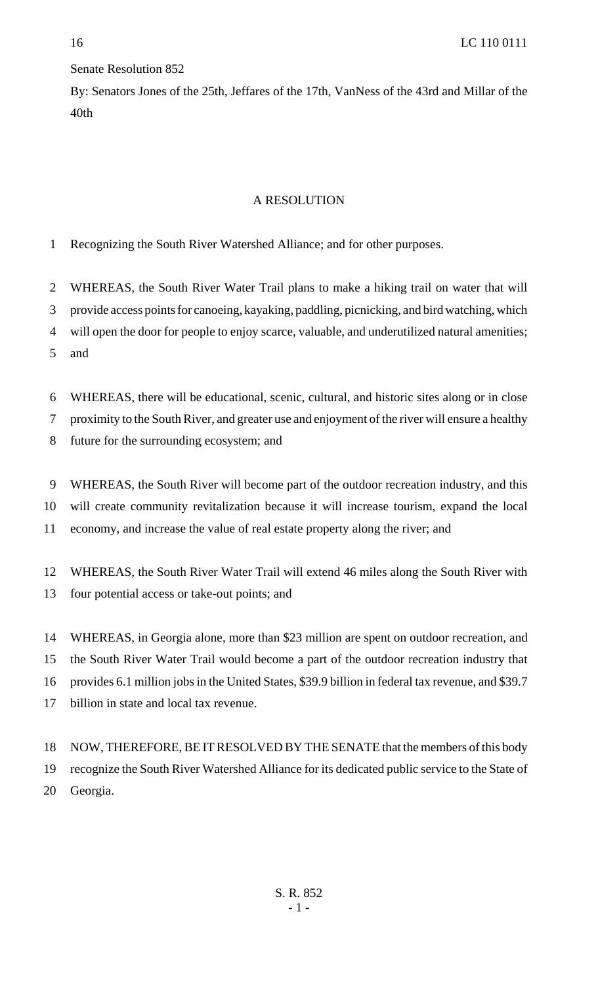## Senate Resolution 852

By: Senators Jones of the 25th, Jeffares of the 17th, VanNess of the 43rd and Millar of the 40th

## A RESOLUTION

Recognizing the South River Watershed Alliance; and for other purposes.

WHEREAS, the South River Water Trail plans to make a hiking trail on water that will

provide access points for canoeing, kayaking, paddling, picnicking, and bird watching, which

will open the door for people to enjoy scarce, valuable, and underutilized natural amenities;

and

WHEREAS, there will be educational, scenic, cultural, and historic sites along or in close

proximity to the South River, and greater use and enjoyment of the river will ensure a healthy

future for the surrounding ecosystem; and

WHEREAS, the South River will become part of the outdoor recreation industry, and this

will create community revitalization because it will increase tourism, expand the local

economy, and increase the value of real estate property along the river; and

WHEREAS, the South River Water Trail will extend 46 miles along the South River with

four potential access or take-out points; and

 WHEREAS, in Georgia alone, more than \$23 million are spent on outdoor recreation, and the South River Water Trail would become a part of the outdoor recreation industry that provides 6.1 million jobs in the United States, \$39.9 billion in federal tax revenue, and \$39.7 billion in state and local tax revenue.

 NOW, THEREFORE, BE IT RESOLVED BY THE SENATE that the members of this body recognize the South River Watershed Alliance for its dedicated public service to the State of Georgia.